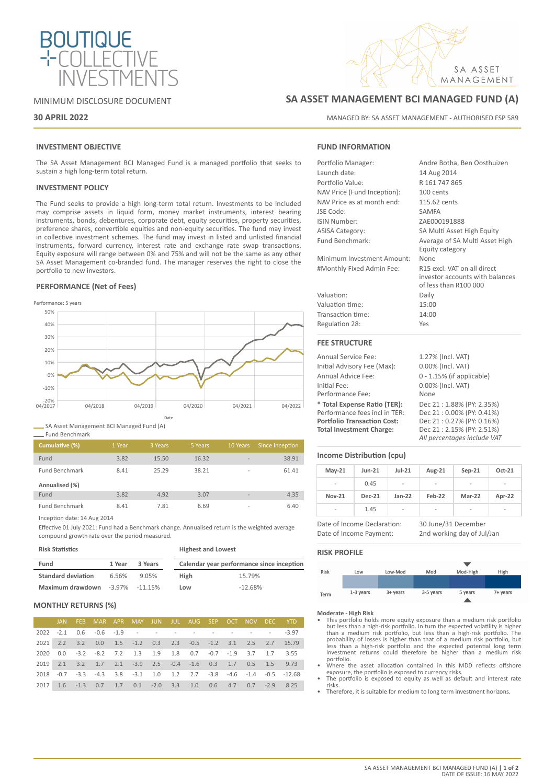

### MINIMUM DISCLOSURE DOCUMENT

### **30 APRIL 2022**

### **INVESTMENT OBJECTIVE**

The SA Asset Management BCI Managed Fund is a managed portfolio that seeks to sustain a high long-term total return.

### **INVESTMENT POLICY**

The Fund seeks to provide a high long-term total return. Investments to be included may comprise assets in liquid form, money market instruments, interest bearing instruments, bonds, debentures, corporate debt, equity securities, property securities, preference shares, convertible equities and non-equity securities. The fund may invest in collective investment schemes. The fund may invest in listed and unlisted financial instruments, forward currency, interest rate and exchange rate swap transactions. Equity exposure will range between 0% and 75% and will not be the same as any other SA Asset Management co-branded fund. The manager reserves the right to close the portfolio to new investors.

### **PERFORMANCE (Net of Fees)**



SA Asset Management BCI Managed Fund (A)

|  | Fund Benchmark |  |
|--|----------------|--|
|  |                |  |

Ė

| Cumulative (%)        | 1 Year | 3 Years | 5 Years | 10 Years                 | Since Inception |
|-----------------------|--------|---------|---------|--------------------------|-----------------|
| Fund                  | 3.82   | 15.50   | 16.32   | $\overline{\phantom{a}}$ | 38.91           |
| <b>Fund Benchmark</b> | 8.41   | 25.29   | 38.21   | $\overline{a}$           | 61.41           |
| Annualised (%)        |        |         |         |                          |                 |
| Fund                  | 3.82   | 4.92    | 3.07    | $\overline{\phantom{a}}$ | 4.35            |
| <b>Fund Benchmark</b> | 8.41   | 7.81    | 6.69    | $\overline{\phantom{a}}$ | 6.40            |

Inception date: 14 Aug 2014

Effective 01 July 2021: Fund had a Benchmark change. Annualised return is the weighted average compound growth rate over the period measured.

| <b>Risk Statistics</b>    |        |                      | <b>Highest and Lowest</b> |                                           |  |  |
|---------------------------|--------|----------------------|---------------------------|-------------------------------------------|--|--|
| Fund                      | 1 Year | 3 Years              |                           | Calendar year performance since inception |  |  |
| <b>Standard deviation</b> | 6.56%  | 9.05%                | High                      | 15.79%                                    |  |  |
| Maximum drawdown          |        | $-3.97\%$ $-11.15\%$ | Low                       | $-12.68%$                                 |  |  |

### **MONTHLY RETURNS (%)**

|      |  | JAN FEB MAR APR MAY JUN JUL AUG SEP OCT NOV DEC YTD                                |  |  |  |  |                                                                     |
|------|--|------------------------------------------------------------------------------------|--|--|--|--|---------------------------------------------------------------------|
|      |  | 2022 -2.1 0.6 -0.6 -1.9 - - - - - - - - - - - -3.97                                |  |  |  |  |                                                                     |
|      |  |                                                                                    |  |  |  |  | 2021 2.2 3.2 0.0 1.5 -1.2 0.3 2.3 -0.5 -1.2 3.1 2.5 2.7 15.79       |
| 2020 |  | $0.0$ $-3.2$ $-8.2$ $7.2$ $1.3$ $1.9$ $1.8$ $0.7$ $-0.7$ $-1.9$ $3.7$ $1.7$ $3.55$ |  |  |  |  |                                                                     |
|      |  | 2019 2.1 3.2 1.7 2.1 -3.9 2.5 -0.4 -1.6 0.3 1.7 0.5 1.5 9.73                       |  |  |  |  |                                                                     |
|      |  |                                                                                    |  |  |  |  | 2018 -0.7 -3.3 -4.3 3.8 -3.1 1.0 1.2 2.7 -3.8 -4.6 -1.4 -0.5 -12.68 |
|      |  | 2017 1.6 -1.3 0.7 1.7 0.1 -2.0 3.3 1.0 0.6 4.7 0.7 -2.9 8.25                       |  |  |  |  |                                                                     |

# **SA ASSET MANAGEMENT BCI MANAGED FUND (A)**

MANAGED BY: SA ASSET MANAGEMENT - AUTHORISED FSP 589

SA ASSET MANAGEMENT

### **FUND INFORMATION**

| Portfolio Manager:          | Andre Botha, Ben Oosthuizen     |
|-----------------------------|---------------------------------|
| Launch date:                | 14 Aug 2014                     |
| Portfolio Value:            | R 161 747 865                   |
| NAV Price (Fund Inception): | 100 cents                       |
| NAV Price as at month end:  | 115.62 cents                    |
| JSE Code:                   | <b>SAMFA</b>                    |
| ISIN Number:                | ZAE000191888                    |
| <b>ASISA Category:</b>      | SA Multi Asset High Equity      |
| Fund Benchmark:             | Average of SA Multi Asset High  |
|                             | Equity category                 |
| Minimum Investment Amount:  | None                            |
| #Monthly Fixed Admin Fee:   | R15 excl. VAT on all direct     |
|                             | investor accounts with balances |
|                             | of less than R100 000           |
| Valuation:                  | Daily                           |
| Valuation time:             | 15:00                           |
| Transaction time:           | 14:00                           |
| Regulation 28:              | Yes                             |
| <b>FEE STRUCTURE</b>        |                                 |
| Annual Service Fee:         | 1.27% (Incl. VAT)               |
| Initial Advisory Fee (Max): | 0.00% (Incl. VAT)               |
|                             |                                 |

| Initial Advisory Fee (Max):        | 0.00% (Incl. VAT)            |
|------------------------------------|------------------------------|
| Annual Advice Fee:                 | $0 - 1.15\%$ (if applicable) |
| Initial Fee:                       | 0.00% (Incl. VAT)            |
| Performance Fee:                   | None                         |
| * Total Expense Ratio (TER):       | Dec 21: 1.88% (PY: 2.35%)    |
| Performance fees incl in TER:      | Dec 21:0.00% (PY: 0.41%)     |
| <b>Portfolio Transaction Cost:</b> | Dec 21:0.27% (PY: 0.16%)     |
| <b>Total Investment Charge:</b>    | Dec 21: 2.15% (PY: 2.51%)    |
|                                    | All percentages include VAT  |

### **Income Distribution (cpu)**

| $May-21$       | <b>Jun-21</b> | $Jul-21$                 | Aug-21 | $Sep-21$ | Oct-21 |
|----------------|---------------|--------------------------|--------|----------|--------|
| $\overline{a}$ | 0.45          | $\overline{\phantom{a}}$ | -      | -        | -      |
| <b>Nov-21</b>  | <b>Dec-21</b> | $Jan-22$                 | Feb-22 | Mar-22   | Apr-22 |
| -              | 1.45          | ۰                        | -      | ۰        | ۰      |

Date of Income Declaration: 30 June/31 December Date of Income Payment: 2nd working day of Jul/Jan

### **RISK PROFILE**



- **Moderate High Risk** This portfolio holds more equity exposure than a medium risk portfolio but less than a high-risk portfolio. In turn the expected volatility is higher<br>than a medium risk portfolio, but less than a high-risk portfolio. The<br>probability of losses is higher than that of a medium risk portfolio, bu portfolio.
- Where the asset allocation contained in this MDD reflects offshore
- exposure, the portfolio is exposed to currency risks. The portfolio is exposed to equity as well as default and interest rate risks.
- Therefore, it is suitable for medium to long term investment horizons.